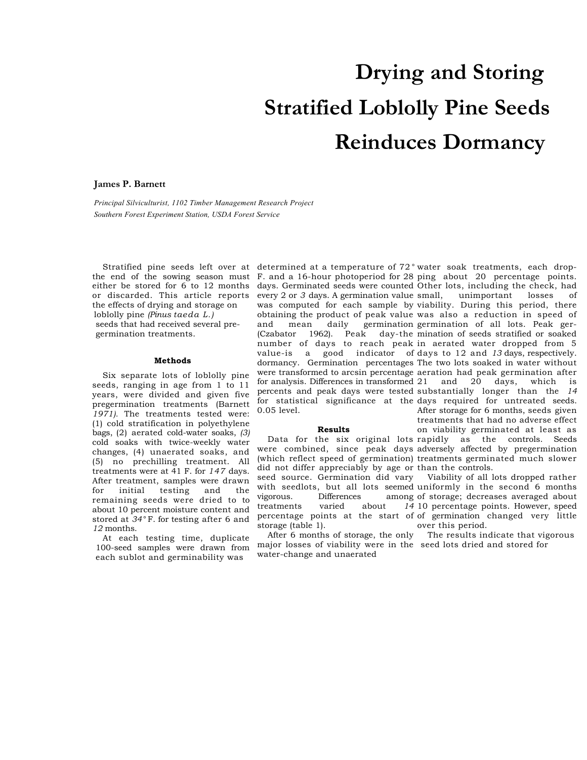## **Drying and Storing Stratified Loblolly Pine Seeds Reinduces Dormancy**

## **James P. Barnett**

*Principal Silviculturist, 1102 Timber Management Research Project Southern Forest Experiment Station, USDA Forest Service* 

either be stored for 6 to 12 months or discarded. This article reports the effects of drying and storage on loblolly pine *(Pinus taeda L.)*  seeds that had received several pregermination treatments.

## **Methods**

Six separate lots of loblolly pine seeds, ranging in age from 1 to 11 years, were divided and given five pregermination treatments (Barnett *1971).* The treatments tested were: (1) cold stratification in polyethylene bags, (2) aerated cold-water soaks, *(3)*  cold soaks with twice-weekly water changes, (4) unaerated soaks, and (5) no prechilling treatment. All treatments were at 41 F. for *147* days. After treatment, samples were drawn for initial testing and the remaining seeds were dried to to about 10 percent moisture content and stored at *34°* F. for testing after 6 and *12* months.

At each testing time, duplicate 100-seed samples were drawn from each sublot and germinability was

Stratified pine seeds left over at determined at a temperature of 72*°*  water soak treatments, each dropthe end of the sowing season must F. and a 16-hour photoperiod for 28 ping about 20 percentage points. days. Germinated seeds were counted Other lots, including the check, had every 2 or *3* days. A germination value was computed for each sample by viability. During this period, there obtaining the product of peak value was also a reduction in speed of and mean daily germination germination of all lots. Peak ger-(Czabator 1962). Peak day-the mination of seeds stratified or soaked number of days to reach peak in aerated water dropped from 5 value-is a good indicator of days to 12 and *13* days, respectively. dormancy. Germination percentages The two lots soaked in water without were transformed to arcsin percentage aeration had peak germination after for analysis. Differences in transformed percents and peak days were tested substantially longer than the *14*  for statistical significance at the days required for untreated seeds. 0.05 level. unimportant losses of and 20 days, which is After storage for 6 months, seeds given treatments that had no adverse effect

## **Results**

Data for the six original lots rapidly as the controls. Seeds were combined, since peak days adversely affected by pregermination (which reflect speed of germination) treatments germinated much slower did not differ appreciably by age or than the controls. on viability germinated at least as

seed source. Germination did vary with seedlots, but all lots seemed uniformly in the second 6 months vigorous. Differences treatments varied about percentage points at the start of of germination changed very little storage (table 1). Viability of all lots dropped rather among of storage; decreases averaged about 14 10 percentage points. However, speed over this period.

After 6 months of storage, the only major losses of viability were in the seed lots dried and stored for water-change and unaerated The results indicate that vigorous